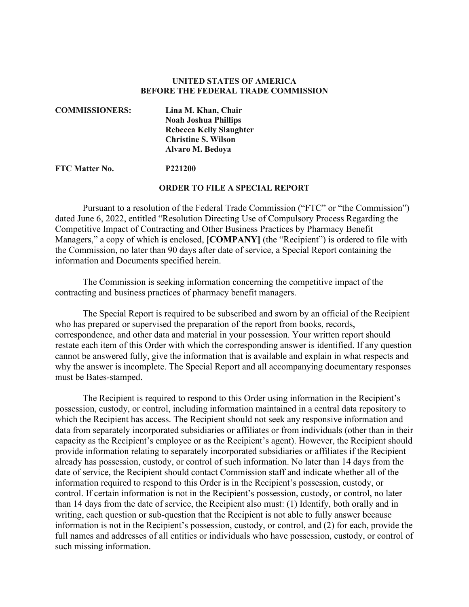### **UNITED STATES OF AMERICA BEFORE THE FEDERAL TRADE COMMISSION**

| <b>COMMISSIONERS:</b> | Lina M. Khan, Chair            |
|-----------------------|--------------------------------|
|                       | <b>Noah Joshua Phillips</b>    |
|                       | <b>Rebecca Kelly Slaughter</b> |
|                       | <b>Christine S. Wilson</b>     |
|                       | Alvaro M. Bedoya               |
|                       |                                |

#### **FTC Matter No. P221200**

#### **ORDER TO FILE A SPECIAL REPORT**

Pursuant to a resolution of the Federal Trade Commission ("FTC" or "the Commission") dated June 6, 2022, entitled "Resolution Directing Use of Compulsory Process Regarding the Competitive Impact of Contracting and Other Business Practices by Pharmacy Benefit Managers," a copy of which is enclosed, **[COMPANY]** (the "Recipient") is ordered to file with the Commission, no later than 90 days after date of service, a Special Report containing the information and Documents specified herein.

The Commission is seeking information concerning the competitive impact of the contracting and business practices of pharmacy benefit managers.

The Special Report is required to be subscribed and sworn by an official of the Recipient who has prepared or supervised the preparation of the report from books, records, correspondence, and other data and material in your possession. Your written report should restate each item of this Order with which the corresponding answer is identified. If any question cannot be answered fully, give the information that is available and explain in what respects and why the answer is incomplete. The Special Report and all accompanying documentary responses must be Bates-stamped.

The Recipient is required to respond to this Order using information in the Recipient's possession, custody, or control, including information maintained in a central data repository to which the Recipient has access. The Recipient should not seek any responsive information and data from separately incorporated subsidiaries or affiliates or from individuals (other than in their capacity as the Recipient's employee or as the Recipient's agent). However, the Recipient should provide information relating to separately incorporated subsidiaries or affiliates if the Recipient already has possession, custody, or control of such information. No later than 14 days from the date of service, the Recipient should contact Commission staff and indicate whether all of the information required to respond to this Order is in the Recipient's possession, custody, or control. If certain information is not in the Recipient's possession, custody, or control, no later than 14 days from the date of service, the Recipient also must: (1) Identify, both orally and in writing, each question or sub-question that the Recipient is not able to fully answer because information is not in the Recipient's possession, custody, or control, and (2) for each, provide the full names and addresses of all entities or individuals who have possession, custody, or control of such missing information.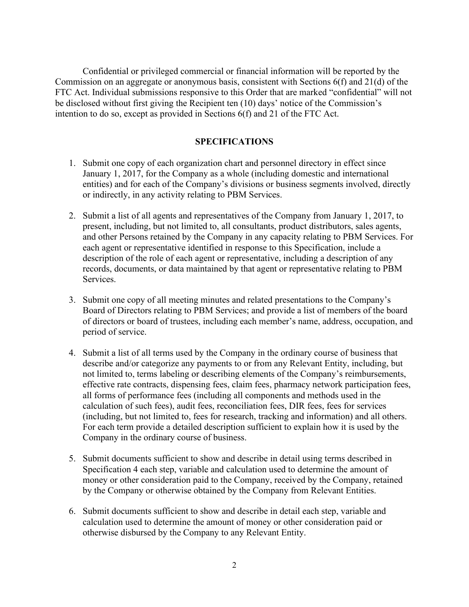Confidential or privileged commercial or financial information will be reported by the Commission on an aggregate or anonymous basis, consistent with Sections 6(f) and 21(d) of the FTC Act. Individual submissions responsive to this Order that are marked "confidential" will not be disclosed without first giving the Recipient ten (10) days' notice of the Commission's intention to do so, except as provided in Sections 6(f) and 21 of the FTC Act.

### **SPECIFICATIONS**

- 1. Submit one copy of each organization chart and personnel directory in effect since January 1, 2017, for the Company as a whole (including domestic and international entities) and for each of the Company's divisions or business segments involved, directly or indirectly, in any activity relating to PBM Services.
- 2. Submit a list of all agents and representatives of the Company from January 1, 2017, to present, including, but not limited to, all consultants, product distributors, sales agents, and other Persons retained by the Company in any capacity relating to PBM Services. For each agent or representative identified in response to this Specification, include a description of the role of each agent or representative, including a description of any records, documents, or data maintained by that agent or representative relating to PBM Services.
- 3. Submit one copy of all meeting minutes and related presentations to the Company's Board of Directors relating to PBM Services; and provide a list of members of the board of directors or board of trustees, including each member's name, address, occupation, and period of service.
- 4. Submit a list of all terms used by the Company in the ordinary course of business that describe and/or categorize any payments to or from any Relevant Entity, including, but not limited to, terms labeling or describing elements of the Company's reimbursements, effective rate contracts, dispensing fees, claim fees, pharmacy network participation fees, all forms of performance fees (including all components and methods used in the calculation of such fees), audit fees, reconciliation fees, DIR fees, fees for services (including, but not limited to, fees for research, tracking and information) and all others. For each term provide a detailed description sufficient to explain how it is used by the Company in the ordinary course of business.
- 5. Submit documents sufficient to show and describe in detail using terms described in Specification 4 each step, variable and calculation used to determine the amount of money or other consideration paid to the Company, received by the Company, retained by the Company or otherwise obtained by the Company from Relevant Entities.
- 6. Submit documents sufficient to show and describe in detail each step, variable and calculation used to determine the amount of money or other consideration paid or otherwise disbursed by the Company to any Relevant Entity.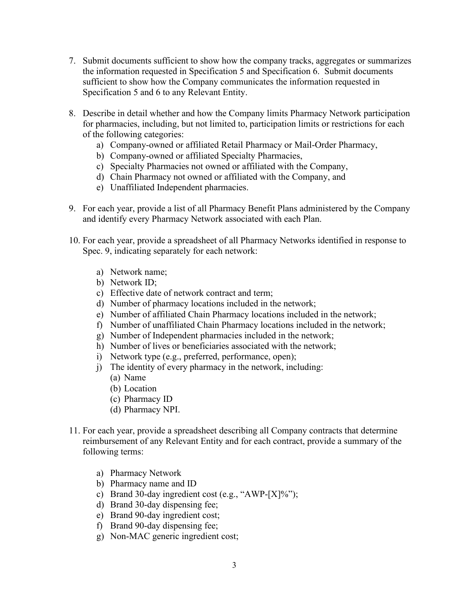- 7. Submit documents sufficient to show how the company tracks, aggregates or summarizes the information requested in Specification 5 and Specification 6. Submit documents sufficient to show how the Company communicates the information requested in Specification 5 and 6 to any Relevant Entity.
- 8. Describe in detail whether and how the Company limits Pharmacy Network participation for pharmacies, including, but not limited to, participation limits or restrictions for each of the following categories:
	- a) Company-owned or affiliated Retail Pharmacy or Mail-Order Pharmacy,
	- b) Company-owned or affiliated Specialty Pharmacies,
	- c) Specialty Pharmacies not owned or affiliated with the Company,
	- d) Chain Pharmacy not owned or affiliated with the Company, and
	- e) Unaffiliated Independent pharmacies.
- 9. For each year, provide a list of all Pharmacy Benefit Plans administered by the Company and identify every Pharmacy Network associated with each Plan.
- 10. For each year, provide a spreadsheet of all Pharmacy Networks identified in response to Spec. 9, indicating separately for each network:
	- a) Network name;
	- b) Network ID;
	- c) Effective date of network contract and term;
	- d) Number of pharmacy locations included in the network;
	- e) Number of affiliated Chain Pharmacy locations included in the network;
	- f) Number of unaffiliated Chain Pharmacy locations included in the network;
	- g) Number of Independent pharmacies included in the network;
	- h) Number of lives or beneficiaries associated with the network;
	- i) Network type (e.g., preferred, performance, open);
	- j) The identity of every pharmacy in the network, including:
		- (a) Name
		- (b) Location
		- (c) Pharmacy ID
		- (d) Pharmacy NPI.
- 11. For each year, provide a spreadsheet describing all Company contracts that determine reimbursement of any Relevant Entity and for each contract, provide a summary of the following terms:
	- a) Pharmacy Network
	- b) Pharmacy name and ID
	- c) Brand 30-day ingredient cost (e.g., "AWP-[X]%");
	- d) Brand 30-day dispensing fee;
	- e) Brand 90-day ingredient cost;
	- f) Brand 90-day dispensing fee;
	- g) Non-MAC generic ingredient cost;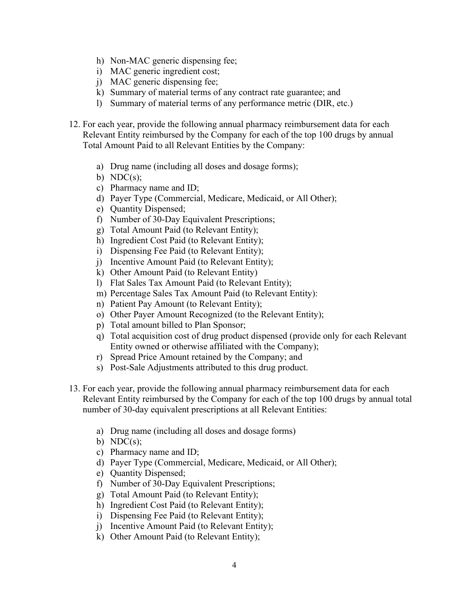- h) Non-MAC generic dispensing fee;
- i) MAC generic ingredient cost;
- j) MAC generic dispensing fee;
- k) Summary of material terms of any contract rate guarantee; and
- l) Summary of material terms of any performance metric (DIR, etc.)
- 12. For each year, provide the following annual pharmacy reimbursement data for each Relevant Entity reimbursed by the Company for each of the top 100 drugs by annual Total Amount Paid to all Relevant Entities by the Company:
	- a) Drug name (including all doses and dosage forms);
	- b)  $NDC(s)$ ;
	- c) Pharmacy name and ID;
	- d) Payer Type (Commercial, Medicare, Medicaid, or All Other);
	- e) Quantity Dispensed;
	- f) Number of 30-Day Equivalent Prescriptions;
	- g) Total Amount Paid (to Relevant Entity);
	- h) Ingredient Cost Paid (to Relevant Entity);
	- i) Dispensing Fee Paid (to Relevant Entity);
	- j) Incentive Amount Paid (to Relevant Entity);
	- k) Other Amount Paid (to Relevant Entity)
	- l) Flat Sales Tax Amount Paid (to Relevant Entity);
	- m) Percentage Sales Tax Amount Paid (to Relevant Entity):
	- n) Patient Pay Amount (to Relevant Entity);
	- o) Other Payer Amount Recognized (to the Relevant Entity);
	- p) Total amount billed to Plan Sponsor;
	- q) Total acquisition cost of drug product dispensed (provide only for each Relevant Entity owned or otherwise affiliated with the Company);
	- r) Spread Price Amount retained by the Company; and
	- s) Post-Sale Adjustments attributed to this drug product.
- 13. For each year, provide the following annual pharmacy reimbursement data for each Relevant Entity reimbursed by the Company for each of the top 100 drugs by annual total number of 30-day equivalent prescriptions at all Relevant Entities:
	- a) Drug name (including all doses and dosage forms)
	- b)  $NDC(s)$ ;
	- c) Pharmacy name and ID;
	- d) Payer Type (Commercial, Medicare, Medicaid, or All Other);
	- e) Quantity Dispensed;
	- f) Number of 30-Day Equivalent Prescriptions;
	- g) Total Amount Paid (to Relevant Entity);
	- h) Ingredient Cost Paid (to Relevant Entity);
	- i) Dispensing Fee Paid (to Relevant Entity);
	- j) Incentive Amount Paid (to Relevant Entity);
	- k) Other Amount Paid (to Relevant Entity);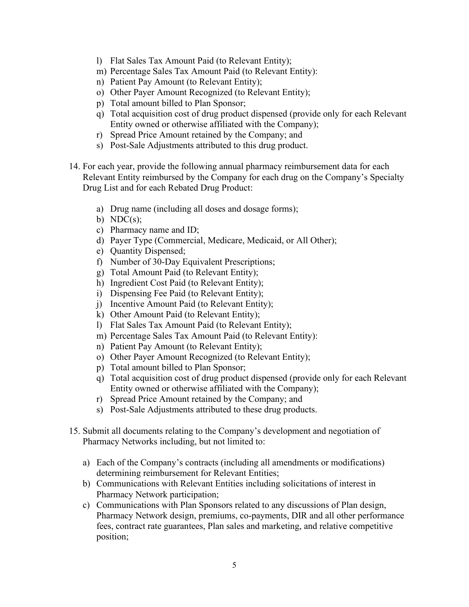- l) Flat Sales Tax Amount Paid (to Relevant Entity);
- m) Percentage Sales Tax Amount Paid (to Relevant Entity):
- n) Patient Pay Amount (to Relevant Entity);
- o) Other Payer Amount Recognized (to Relevant Entity);
- p) Total amount billed to Plan Sponsor;
- q) Total acquisition cost of drug product dispensed (provide only for each Relevant Entity owned or otherwise affiliated with the Company);
- r) Spread Price Amount retained by the Company; and
- s) Post-Sale Adjustments attributed to this drug product.
- 14. For each year, provide the following annual pharmacy reimbursement data for each Relevant Entity reimbursed by the Company for each drug on the Company's Specialty Drug List and for each Rebated Drug Product:
	- a) Drug name (including all doses and dosage forms);
	- b)  $NDC(s)$ ;
	- c) Pharmacy name and ID;
	- d) Payer Type (Commercial, Medicare, Medicaid, or All Other);
	- e) Quantity Dispensed;
	- f) Number of 30-Day Equivalent Prescriptions;
	- g) Total Amount Paid (to Relevant Entity);
	- h) Ingredient Cost Paid (to Relevant Entity);
	- i) Dispensing Fee Paid (to Relevant Entity);
	- j) Incentive Amount Paid (to Relevant Entity);
	- k) Other Amount Paid (to Relevant Entity);
	- l) Flat Sales Tax Amount Paid (to Relevant Entity);
	- m) Percentage Sales Tax Amount Paid (to Relevant Entity):
	- n) Patient Pay Amount (to Relevant Entity);
	- o) Other Payer Amount Recognized (to Relevant Entity);
	- p) Total amount billed to Plan Sponsor;
	- q) Total acquisition cost of drug product dispensed (provide only for each Relevant Entity owned or otherwise affiliated with the Company);
	- r) Spread Price Amount retained by the Company; and
	- s) Post-Sale Adjustments attributed to these drug products.
- 15. Submit all documents relating to the Company's development and negotiation of Pharmacy Networks including, but not limited to:
	- a) Each of the Company's contracts (including all amendments or modifications) determining reimbursement for Relevant Entities;
	- b) Communications with Relevant Entities including solicitations of interest in Pharmacy Network participation;
	- c) Communications with Plan Sponsors related to any discussions of Plan design, Pharmacy Network design, premiums, co-payments, DIR and all other performance fees, contract rate guarantees, Plan sales and marketing, and relative competitive position;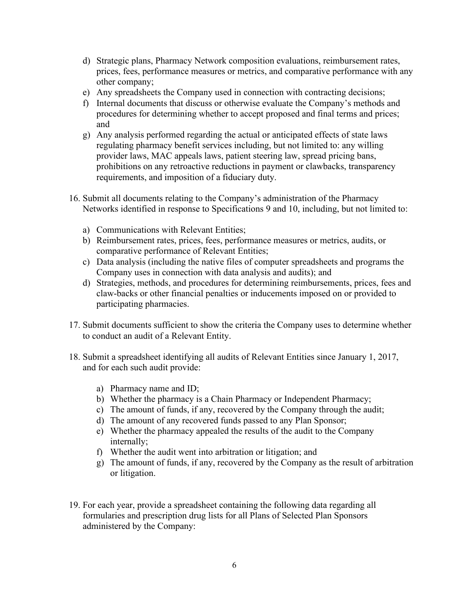- d) Strategic plans, Pharmacy Network composition evaluations, reimbursement rates, prices, fees, performance measures or metrics, and comparative performance with any other company;
- e) Any spreadsheets the Company used in connection with contracting decisions;
- f) Internal documents that discuss or otherwise evaluate the Company's methods and procedures for determining whether to accept proposed and final terms and prices; and
- g) Any analysis performed regarding the actual or anticipated effects of state laws regulating pharmacy benefit services including, but not limited to: any willing provider laws, MAC appeals laws, patient steering law, spread pricing bans, prohibitions on any retroactive reductions in payment or clawbacks, transparency requirements, and imposition of a fiduciary duty.
- 16. Submit all documents relating to the Company's administration of the Pharmacy Networks identified in response to Specifications 9 and 10, including, but not limited to:
	- a) Communications with Relevant Entities;
	- b) Reimbursement rates, prices, fees, performance measures or metrics, audits, or comparative performance of Relevant Entities;
	- c) Data analysis (including the native files of computer spreadsheets and programs the Company uses in connection with data analysis and audits); and
	- d) Strategies, methods, and procedures for determining reimbursements, prices, fees and claw-backs or other financial penalties or inducements imposed on or provided to participating pharmacies.
- 17. Submit documents sufficient to show the criteria the Company uses to determine whether to conduct an audit of a Relevant Entity.
- 18. Submit a spreadsheet identifying all audits of Relevant Entities since January 1, 2017, and for each such audit provide:
	- a) Pharmacy name and ID;
	- b) Whether the pharmacy is a Chain Pharmacy or Independent Pharmacy;
	- c) The amount of funds, if any, recovered by the Company through the audit;
	- d) The amount of any recovered funds passed to any Plan Sponsor;
	- e) Whether the pharmacy appealed the results of the audit to the Company internally;
	- f) Whether the audit went into arbitration or litigation; and
	- g) The amount of funds, if any, recovered by the Company as the result of arbitration or litigation.
- 19. For each year, provide a spreadsheet containing the following data regarding all formularies and prescription drug lists for all Plans of Selected Plan Sponsors administered by the Company: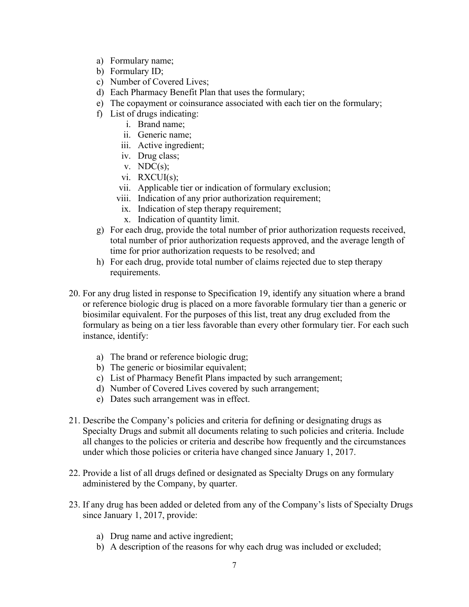- a) Formulary name;
- b) Formulary ID;
- c) Number of Covered Lives;
- d) Each Pharmacy Benefit Plan that uses the formulary;
- e) The copayment or coinsurance associated with each tier on the formulary;
- f) List of drugs indicating:
	- i. Brand name;
	- ii. Generic name;
	- iii. Active ingredient;
	- iv. Drug class;
	- v.  $NDC(s)$ ;
	- vi. RXCUI(s);
	- vii. Applicable tier or indication of formulary exclusion;
	- viii. Indication of any prior authorization requirement;
	- ix. Indication of step therapy requirement;
	- x. Indication of quantity limit.
- g) For each drug, provide the total number of prior authorization requests received, total number of prior authorization requests approved, and the average length of time for prior authorization requests to be resolved; and
- h) For each drug, provide total number of claims rejected due to step therapy requirements.
- 20. For any drug listed in response to Specification 19, identify any situation where a brand or reference biologic drug is placed on a more favorable formulary tier than a generic or biosimilar equivalent. For the purposes of this list, treat any drug excluded from the formulary as being on a tier less favorable than every other formulary tier. For each such instance, identify:
	- a) The brand or reference biologic drug;
	- b) The generic or biosimilar equivalent;
	- c) List of Pharmacy Benefit Plans impacted by such arrangement;
	- d) Number of Covered Lives covered by such arrangement;
	- e) Dates such arrangement was in effect.
- 21. Describe the Company's policies and criteria for defining or designating drugs as Specialty Drugs and submit all documents relating to such policies and criteria. Include all changes to the policies or criteria and describe how frequently and the circumstances under which those policies or criteria have changed since January 1, 2017.
- 22. Provide a list of all drugs defined or designated as Specialty Drugs on any formulary administered by the Company, by quarter.
- 23. If any drug has been added or deleted from any of the Company's lists of Specialty Drugs since January 1, 2017, provide:
	- a) Drug name and active ingredient;
	- b) A description of the reasons for why each drug was included or excluded;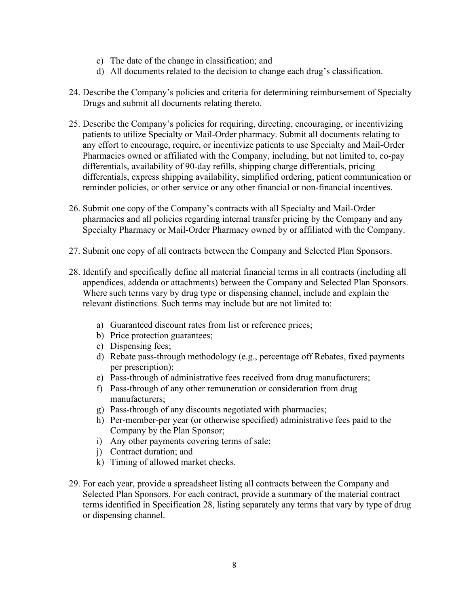- c) The date of the change in classification; and
- d) All documents related to the decision to change each drug's classification.
- 24. Describe the Company's policies and criteria for determining reimbursement of Specialty Drugs and submit all documents relating thereto.
- 25. Describe the Company's policies for requiring, directing, encouraging, or incentivizing patients to utilize Specialty or Mail-Order pharmacy. Submit all documents relating to any effort to encourage, require, or incentivize patients to use Specialty and Mail-Order Pharmacies owned or affiliated with the Company, including, but not limited to, co-pay differentials, availability of 90-day refills, shipping charge differentials, pricing differentials, express shipping availability, simplified ordering, patient communication or reminder policies, or other service or any other financial or non-financial incentives.
- 26. Submit one copy of the Company's contracts with all Specialty and Mail-Order pharmacies and all policies regarding internal transfer pricing by the Company and any Specialty Pharmacy or Mail-Order Pharmacy owned by or affiliated with the Company.
- 27. Submit one copy of all contracts between the Company and Selected Plan Sponsors.
- 28. Identify and specifically define all material financial terms in all contracts (including all appendices, addenda or attachments) between the Company and Selected Plan Sponsors. Where such terms vary by drug type or dispensing channel, include and explain the relevant distinctions. Such terms may include but are not limited to:
	- a) Guaranteed discount rates from list or reference prices;
	- b) Price protection guarantees;
	- c) Dispensing fees;
	- d) Rebate pass-through methodology (e.g., percentage off Rebates, fixed payments per prescription);
	- e) Pass-through of administrative fees received from drug manufacturers;
	- f) Pass-through of any other remuneration or consideration from drug manufacturers;
	- g) Pass-through of any discounts negotiated with pharmacies;
	- h) Per-member-per year (or otherwise specified) administrative fees paid to the Company by the Plan Sponsor;
	- i) Any other payments covering terms of sale;
	- j) Contract duration; and
	- k) Timing of allowed market checks.
- 29. For each year, provide a spreadsheet listing all contracts between the Company and Selected Plan Sponsors. For each contract, provide a summary of the material contract terms identified in Specification 28, listing separately any terms that vary by type of drug or dispensing channel.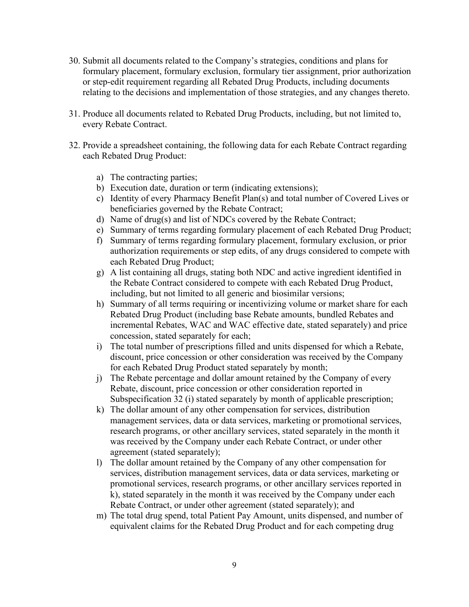- 30. Submit all documents related to the Company's strategies, conditions and plans for formulary placement, formulary exclusion, formulary tier assignment, prior authorization or step-edit requirement regarding all Rebated Drug Products, including documents relating to the decisions and implementation of those strategies, and any changes thereto.
- 31. Produce all documents related to Rebated Drug Products, including, but not limited to, every Rebate Contract.
- 32. Provide a spreadsheet containing, the following data for each Rebate Contract regarding each Rebated Drug Product:
	- a) The contracting parties;
	- b) Execution date, duration or term (indicating extensions);
	- c) Identity of every Pharmacy Benefit Plan(s) and total number of Covered Lives or beneficiaries governed by the Rebate Contract;
	- d) Name of drug(s) and list of NDCs covered by the Rebate Contract;
	- e) Summary of terms regarding formulary placement of each Rebated Drug Product;
	- f) Summary of terms regarding formulary placement, formulary exclusion, or prior authorization requirements or step edits, of any drugs considered to compete with each Rebated Drug Product;
	- g) A list containing all drugs, stating both NDC and active ingredient identified in the Rebate Contract considered to compete with each Rebated Drug Product, including, but not limited to all generic and biosimilar versions;
	- h) Summary of all terms requiring or incentivizing volume or market share for each Rebated Drug Product (including base Rebate amounts, bundled Rebates and incremental Rebates, WAC and WAC effective date, stated separately) and price concession, stated separately for each;
	- i) The total number of prescriptions filled and units dispensed for which a Rebate, discount, price concession or other consideration was received by the Company for each Rebated Drug Product stated separately by month;
	- j) The Rebate percentage and dollar amount retained by the Company of every Rebate, discount, price concession or other consideration reported in Subspecification 32 (i) stated separately by month of applicable prescription;
	- k) The dollar amount of any other compensation for services, distribution management services, data or data services, marketing or promotional services, research programs, or other ancillary services, stated separately in the month it was received by the Company under each Rebate Contract, or under other agreement (stated separately);
	- l) The dollar amount retained by the Company of any other compensation for services, distribution management services, data or data services, marketing or promotional services, research programs, or other ancillary services reported in k), stated separately in the month it was received by the Company under each Rebate Contract, or under other agreement (stated separately); and
	- m) The total drug spend, total Patient Pay Amount, units dispensed, and number of equivalent claims for the Rebated Drug Product and for each competing drug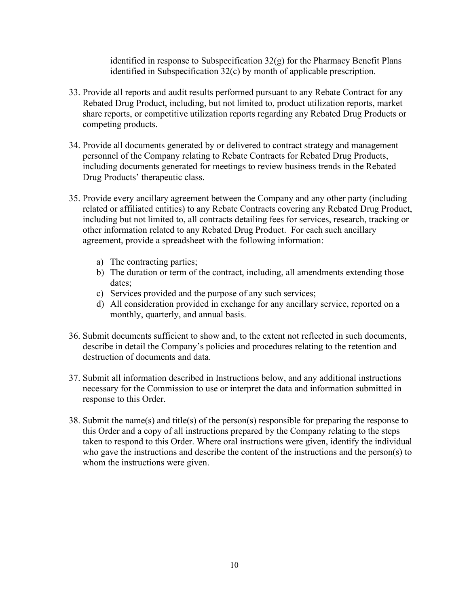identified in response to Subspecification 32(g) for the Pharmacy Benefit Plans identified in Subspecification 32(c) by month of applicable prescription.

- 33. Provide all reports and audit results performed pursuant to any Rebate Contract for any Rebated Drug Product, including, but not limited to, product utilization reports, market share reports, or competitive utilization reports regarding any Rebated Drug Products or competing products.
- 34. Provide all documents generated by or delivered to contract strategy and management personnel of the Company relating to Rebate Contracts for Rebated Drug Products, including documents generated for meetings to review business trends in the Rebated Drug Products' therapeutic class.
- 35. Provide every ancillary agreement between the Company and any other party (including related or affiliated entities) to any Rebate Contracts covering any Rebated Drug Product, including but not limited to, all contracts detailing fees for services, research, tracking or other information related to any Rebated Drug Product. For each such ancillary agreement, provide a spreadsheet with the following information:
	- a) The contracting parties;
	- b) The duration or term of the contract, including, all amendments extending those dates;
	- c) Services provided and the purpose of any such services;
	- d) All consideration provided in exchange for any ancillary service, reported on a monthly, quarterly, and annual basis.
- 36. Submit documents sufficient to show and, to the extent not reflected in such documents, describe in detail the Company's policies and procedures relating to the retention and destruction of documents and data.
- 37. Submit all information described in Instructions below, and any additional instructions necessary for the Commission to use or interpret the data and information submitted in response to this Order.
- 38. Submit the name(s) and title(s) of the person(s) responsible for preparing the response to this Order and a copy of all instructions prepared by the Company relating to the steps taken to respond to this Order. Where oral instructions were given, identify the individual who gave the instructions and describe the content of the instructions and the person(s) to whom the instructions were given.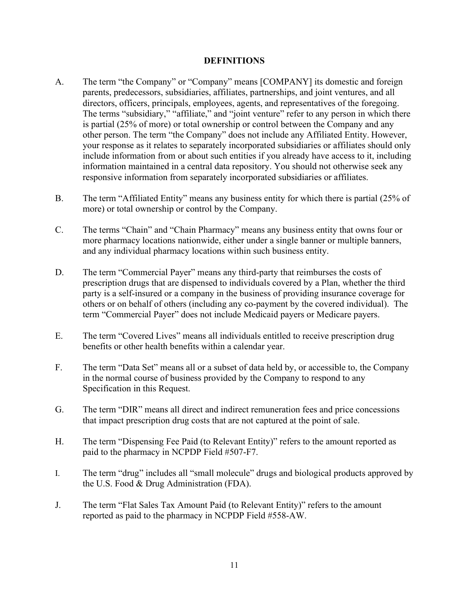## **DEFINITIONS**

- A. The term "the Company" or "Company" means [COMPANY] its domestic and foreign parents, predecessors, subsidiaries, affiliates, partnerships, and joint ventures, and all directors, officers, principals, employees, agents, and representatives of the foregoing. The terms "subsidiary," "affiliate," and "joint venture" refer to any person in which there is partial (25% of more) or total ownership or control between the Company and any other person. The term "the Company" does not include any Affiliated Entity. However, your response as it relates to separately incorporated subsidiaries or affiliates should only include information from or about such entities if you already have access to it, including information maintained in a central data repository. You should not otherwise seek any responsive information from separately incorporated subsidiaries or affiliates.
- B. The term "Affiliated Entity" means any business entity for which there is partial (25% of more) or total ownership or control by the Company.
- C. The terms "Chain" and "Chain Pharmacy" means any business entity that owns four or more pharmacy locations nationwide, either under a single banner or multiple banners, and any individual pharmacy locations within such business entity.
- D. The term "Commercial Payer" means any third-party that reimburses the costs of prescription drugs that are dispensed to individuals covered by a Plan, whether the third party is a self-insured or a company in the business of providing insurance coverage for others or on behalf of others (including any co-payment by the covered individual). The term "Commercial Payer" does not include Medicaid payers or Medicare payers.
- E. The term "Covered Lives" means all individuals entitled to receive prescription drug benefits or other health benefits within a calendar year.
- F. The term "Data Set" means all or a subset of data held by, or accessible to, the Company in the normal course of business provided by the Company to respond to any Specification in this Request.
- G. The term "DIR" means all direct and indirect remuneration fees and price concessions that impact prescription drug costs that are not captured at the point of sale.
- H. The term "Dispensing Fee Paid (to Relevant Entity)" refers to the amount reported as paid to the pharmacy in NCPDP Field #507-F7.
- I. The term "drug" includes all "small molecule" drugs and biological products approved by the U.S. Food & Drug Administration (FDA).
- J. The term "Flat Sales Tax Amount Paid (to Relevant Entity)" refers to the amount reported as paid to the pharmacy in NCPDP Field #558-AW.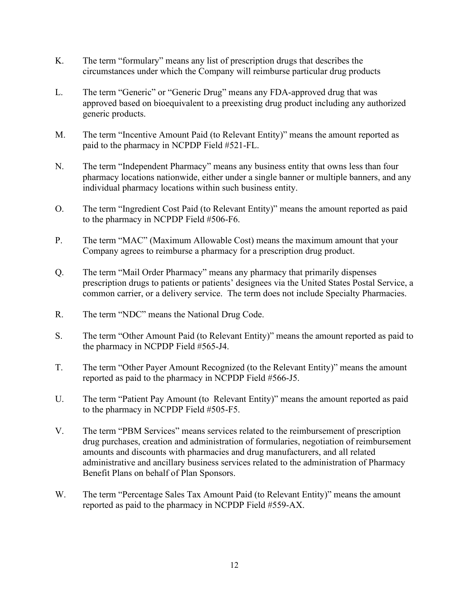- K. The term "formulary" means any list of prescription drugs that describes the circumstances under which the Company will reimburse particular drug products
- L. The term "Generic" or "Generic Drug" means any FDA-approved drug that was approved based on bioequivalent to a preexisting drug product including any authorized generic products.
- M. The term "Incentive Amount Paid (to Relevant Entity)" means the amount reported as paid to the pharmacy in NCPDP Field #521-FL.
- N. The term "Independent Pharmacy" means any business entity that owns less than four pharmacy locations nationwide, either under a single banner or multiple banners, and any individual pharmacy locations within such business entity.
- O. The term "Ingredient Cost Paid (to Relevant Entity)" means the amount reported as paid to the pharmacy in NCPDP Field #506-F6.
- P. The term "MAC" (Maximum Allowable Cost) means the maximum amount that your Company agrees to reimburse a pharmacy for a prescription drug product.
- Q. The term "Mail Order Pharmacy" means any pharmacy that primarily dispenses prescription drugs to patients or patients' designees via the United States Postal Service, a common carrier, or a delivery service. The term does not include Specialty Pharmacies.
- R. The term "NDC" means the National Drug Code.
- S. The term "Other Amount Paid (to Relevant Entity)" means the amount reported as paid to the pharmacy in NCPDP Field #565-J4.
- T. The term "Other Payer Amount Recognized (to the Relevant Entity)" means the amount reported as paid to the pharmacy in NCPDP Field #566-J5.
- U. The term "Patient Pay Amount (to Relevant Entity)" means the amount reported as paid to the pharmacy in NCPDP Field #505-F5.
- V. The term "PBM Services" means services related to the reimbursement of prescription drug purchases, creation and administration of formularies, negotiation of reimbursement amounts and discounts with pharmacies and drug manufacturers, and all related administrative and ancillary business services related to the administration of Pharmacy Benefit Plans on behalf of Plan Sponsors.
- W. The term "Percentage Sales Tax Amount Paid (to Relevant Entity)" means the amount reported as paid to the pharmacy in NCPDP Field #559-AX.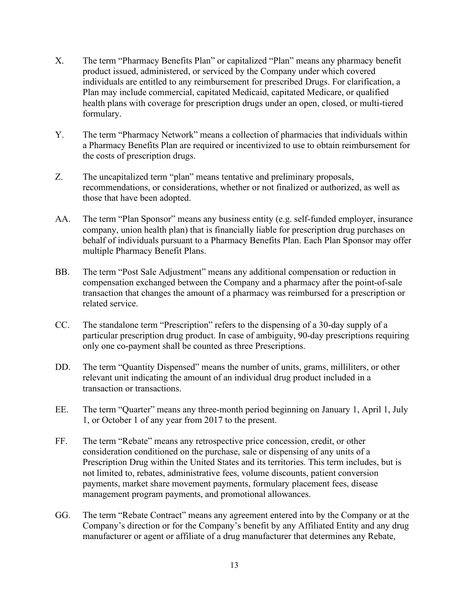- X. The term "Pharmacy Benefits Plan" or capitalized "Plan" means any pharmacy benefit product issued, administered, or serviced by the Company under which covered individuals are entitled to any reimbursement for prescribed Drugs. For clarification, a Plan may include commercial, capitated Medicaid, capitated Medicare, or qualified health plans with coverage for prescription drugs under an open, closed, or multi-tiered formulary.
- Y. The term "Pharmacy Network" means a collection of pharmacies that individuals within a Pharmacy Benefits Plan are required or incentivized to use to obtain reimbursement for the costs of prescription drugs.
- Z. The uncapitalized term "plan" means tentative and preliminary proposals, recommendations, or considerations, whether or not finalized or authorized, as well as those that have been adopted.
- AA. The term "Plan Sponsor" means any business entity (e.g. self-funded employer, insurance company, union health plan) that is financially liable for prescription drug purchases on behalf of individuals pursuant to a Pharmacy Benefits Plan. Each Plan Sponsor may offer multiple Pharmacy Benefit Plans.
- BB. The term "Post Sale Adjustment" means any additional compensation or reduction in compensation exchanged between the Company and a pharmacy after the point-of-sale transaction that changes the amount of a pharmacy was reimbursed for a prescription or related service.
- CC. The standalone term "Prescription" refers to the dispensing of a 30-day supply of a particular prescription drug product. In case of ambiguity, 90-day prescriptions requiring only one co-payment shall be counted as three Prescriptions.
- DD. The term "Quantity Dispensed" means the number of units, grams, milliliters, or other relevant unit indicating the amount of an individual drug product included in a transaction or transactions.
- EE. The term "Quarter" means any three-month period beginning on January 1, April 1, July 1, or October 1 of any year from 2017 to the present.
- FF. The term "Rebate" means any retrospective price concession, credit, or other consideration conditioned on the purchase, sale or dispensing of any units of a Prescription Drug within the United States and its territories. This term includes, but is not limited to, rebates, administrative fees, volume discounts, patient conversion payments, market share movement payments, formulary placement fees, disease management program payments, and promotional allowances.
- GG. The term "Rebate Contract" means any agreement entered into by the Company or at the Company's direction or for the Company's benefit by any Affiliated Entity and any drug manufacturer or agent or affiliate of a drug manufacturer that determines any Rebate,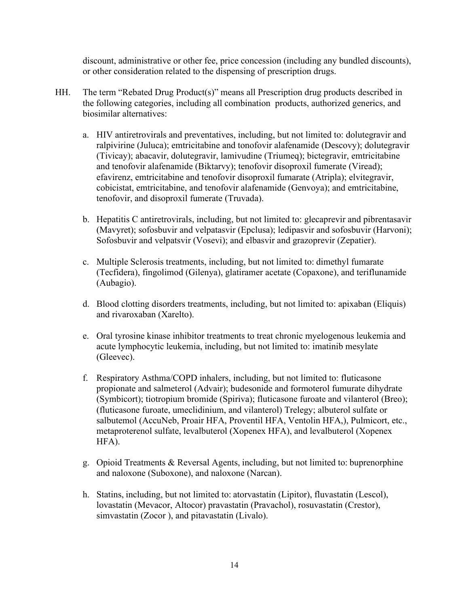discount, administrative or other fee, price concession (including any bundled discounts), or other consideration related to the dispensing of prescription drugs.

- HH. The term "Rebated Drug Product(s)" means all Prescription drug products described in the following categories, including all combination products, authorized generics, and biosimilar alternatives:
	- a. HIV antiretrovirals and preventatives, including, but not limited to: dolutegravir and ralpivirine (Juluca); emtricitabine and tonofovir alafenamide (Descovy); dolutegravir (Tivicay); abacavir, dolutegravir, lamivudine (Triumeq); bictegravir, emtricitabine and tenofovir alafenamide (Biktarvy); tenofovir disoproxil fumerate (Viread); efavirenz, emtricitabine and tenofovir disoproxil fumarate (Atripla); elvitegravir, cobicistat, emtricitabine, and tenofovir alafenamide (Genvoya); and emtricitabine, tenofovir, and disoproxil fumerate (Truvada).
	- b. Hepatitis C antiretrovirals, including, but not limited to: glecaprevir and pibrentasavir (Mavyret); sofosbuvir and velpatasvir (Epclusa); ledipasvir and sofosbuvir (Harvoni); Sofosbuvir and velpatsvir (Vosevi); and elbasvir and grazoprevir (Zepatier).
	- c. Multiple Sclerosis treatments, including, but not limited to: dimethyl fumarate (Tecfidera), fingolimod (Gilenya), glatiramer acetate (Copaxone), and teriflunamide (Aubagio).
	- d. Blood clotting disorders treatments, including, but not limited to: apixaban (Eliquis) and rivaroxaban (Xarelto).
	- e. Oral tyrosine kinase inhibitor treatments to treat chronic myelogenous leukemia and acute lymphocytic leukemia, including, but not limited to: imatinib mesylate (Gleevec).
	- f. Respiratory Asthma/COPD inhalers, including, but not limited to: fluticasone propionate and salmeterol (Advair); budesonide and formoterol fumurate dihydrate (Symbicort); tiotropium bromide (Spiriva); fluticasone furoate and vilanterol (Breo); (fluticasone furoate, umeclidinium, and vilanterol) Trelegy; albuterol sulfate or salbutemol (AccuNeb, Proair HFA, Proventil HFA, Ventolin HFA,), Pulmicort, etc., metaproterenol sulfate, levalbuterol (Xopenex HFA), and levalbuterol (Xopenex HFA).
	- g. Opioid Treatments & Reversal Agents, including, but not limited to: buprenorphine and naloxone (Suboxone), and naloxone (Narcan).
	- h. Statins, including, but not limited to: atorvastatin (Lipitor), fluvastatin (Lescol), lovastatin (Mevacor, Altocor) pravastatin (Pravachol), rosuvastatin (Crestor), simvastatin (Zocor ), and pitavastatin (Livalo).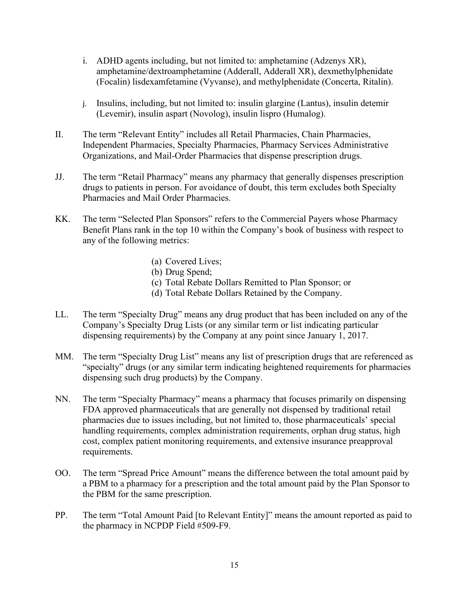- i. ADHD agents including, but not limited to: amphetamine (Adzenys XR), amphetamine/dextroamphetamine (Adderall, Adderall XR), dexmethylphenidate (Focalin) lisdexamfetamine (Vyvanse), and methylphenidate (Concerta, Ritalin).
- j. Insulins, including, but not limited to: insulin glargine (Lantus), insulin detemir (Levemir), insulin aspart (Novolog), insulin lispro (Humalog).
- II. The term "Relevant Entity" includes all Retail Pharmacies, Chain Pharmacies, Independent Pharmacies, Specialty Pharmacies, Pharmacy Services Administrative Organizations, and Mail-Order Pharmacies that dispense prescription drugs.
- JJ. The term "Retail Pharmacy" means any pharmacy that generally dispenses prescription drugs to patients in person. For avoidance of doubt, this term excludes both Specialty Pharmacies and Mail Order Pharmacies.
- KK. The term "Selected Plan Sponsors" refers to the Commercial Payers whose Pharmacy Benefit Plans rank in the top 10 within the Company's book of business with respect to any of the following metrics:
	- (a) Covered Lives;
	- (b) Drug Spend;
	- (c) Total Rebate Dollars Remitted to Plan Sponsor; or
	- (d) Total Rebate Dollars Retained by the Company.
- LL. The term "Specialty Drug" means any drug product that has been included on any of the Company's Specialty Drug Lists (or any similar term or list indicating particular dispensing requirements) by the Company at any point since January 1, 2017.
- MM. The term "Specialty Drug List" means any list of prescription drugs that are referenced as "specialty" drugs (or any similar term indicating heightened requirements for pharmacies dispensing such drug products) by the Company.
- NN. The term "Specialty Pharmacy" means a pharmacy that focuses primarily on dispensing FDA approved pharmaceuticals that are generally not dispensed by traditional retail pharmacies due to issues including, but not limited to, those pharmaceuticals' special handling requirements, complex administration requirements, orphan drug status, high cost, complex patient monitoring requirements, and extensive insurance preapproval requirements.
- OO. The term "Spread Price Amount" means the difference between the total amount paid by a PBM to a pharmacy for a prescription and the total amount paid by the Plan Sponsor to the PBM for the same prescription.
- PP. The term "Total Amount Paid [to Relevant Entity]" means the amount reported as paid to the pharmacy in NCPDP Field #509-F9.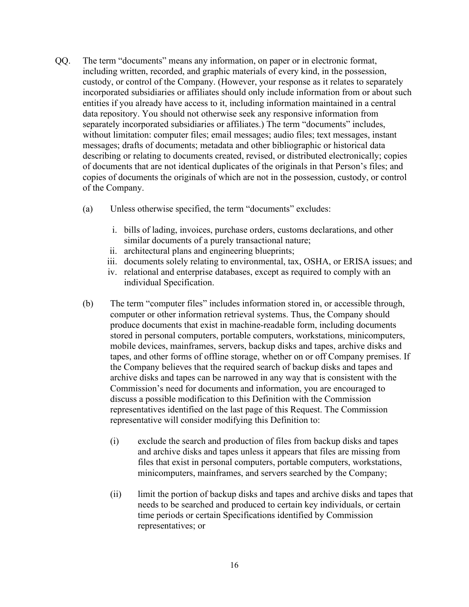- QQ. The term "documents" means any information, on paper or in electronic format, including written, recorded, and graphic materials of every kind, in the possession, custody, or control of the Company. (However, your response as it relates to separately incorporated subsidiaries or affiliates should only include information from or about such entities if you already have access to it, including information maintained in a central data repository. You should not otherwise seek any responsive information from separately incorporated subsidiaries or affiliates.) The term "documents" includes, without limitation: computer files; email messages; audio files; text messages, instant messages; drafts of documents; metadata and other bibliographic or historical data describing or relating to documents created, revised, or distributed electronically; copies of documents that are not identical duplicates of the originals in that Person's files; and copies of documents the originals of which are not in the possession, custody, or control of the Company.
	- (a) Unless otherwise specified, the term "documents" excludes:
		- i. bills of lading, invoices, purchase orders, customs declarations, and other similar documents of a purely transactional nature;
		- ii. architectural plans and engineering blueprints;
		- iii. documents solely relating to environmental, tax, OSHA, or ERISA issues; and
		- iv. relational and enterprise databases, except as required to comply with an individual Specification.
	- (b) The term "computer files" includes information stored in, or accessible through, computer or other information retrieval systems. Thus, the Company should produce documents that exist in machine-readable form, including documents stored in personal computers, portable computers, workstations, minicomputers, mobile devices, mainframes, servers, backup disks and tapes, archive disks and tapes, and other forms of offline storage, whether on or off Company premises. If the Company believes that the required search of backup disks and tapes and archive disks and tapes can be narrowed in any way that is consistent with the Commission's need for documents and information, you are encouraged to discuss a possible modification to this Definition with the Commission representatives identified on the last page of this Request. The Commission representative will consider modifying this Definition to:
		- (i) exclude the search and production of files from backup disks and tapes and archive disks and tapes unless it appears that files are missing from files that exist in personal computers, portable computers, workstations, minicomputers, mainframes, and servers searched by the Company;
		- (ii) limit the portion of backup disks and tapes and archive disks and tapes that needs to be searched and produced to certain key individuals, or certain time periods or certain Specifications identified by Commission representatives; or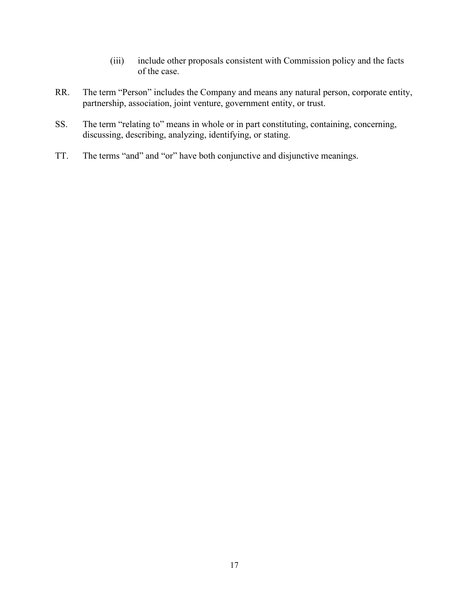- (iii) include other proposals consistent with Commission policy and the facts of the case.
- RR. The term "Person" includes the Company and means any natural person, corporate entity, partnership, association, joint venture, government entity, or trust.
- SS. The term "relating to" means in whole or in part constituting, containing, concerning, discussing, describing, analyzing, identifying, or stating.
- TT. The terms "and" and "or" have both conjunctive and disjunctive meanings.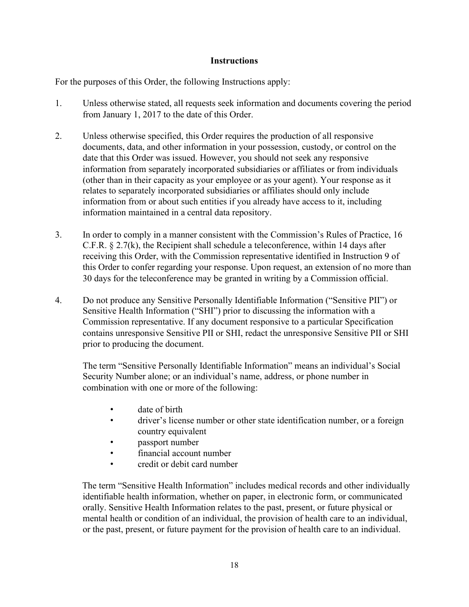# **Instructions**

For the purposes of this Order, the following Instructions apply:

- 1. Unless otherwise stated, all requests seek information and documents covering the period from January 1, 2017 to the date of this Order.
- 2. Unless otherwise specified, this Order requires the production of all responsive documents, data, and other information in your possession, custody, or control on the date that this Order was issued. However, you should not seek any responsive information from separately incorporated subsidiaries or affiliates or from individuals (other than in their capacity as your employee or as your agent). Your response as it relates to separately incorporated subsidiaries or affiliates should only include information from or about such entities if you already have access to it, including information maintained in a central data repository.
- 3. In order to comply in a manner consistent with the Commission's Rules of Practice, 16 C.F.R. § 2.7(k), the Recipient shall schedule a teleconference, within 14 days after receiving this Order, with the Commission representative identified in Instruction 9 of this Order to confer regarding your response. Upon request, an extension of no more than 30 days for the teleconference may be granted in writing by a Commission official.
- 4. Do not produce any Sensitive Personally Identifiable Information ("Sensitive PII") or Sensitive Health Information ("SHI") prior to discussing the information with a Commission representative. If any document responsive to a particular Specification contains unresponsive Sensitive PII or SHI, redact the unresponsive Sensitive PII or SHI prior to producing the document.

The term "Sensitive Personally Identifiable Information" means an individual's Social Security Number alone; or an individual's name, address, or phone number in combination with one or more of the following:

- date of birth
- driver's license number or other state identification number, or a foreign country equivalent
- passport number
- financial account number
- credit or debit card number

The term "Sensitive Health Information" includes medical records and other individually identifiable health information, whether on paper, in electronic form, or communicated orally. Sensitive Health Information relates to the past, present, or future physical or mental health or condition of an individual, the provision of health care to an individual, or the past, present, or future payment for the provision of health care to an individual.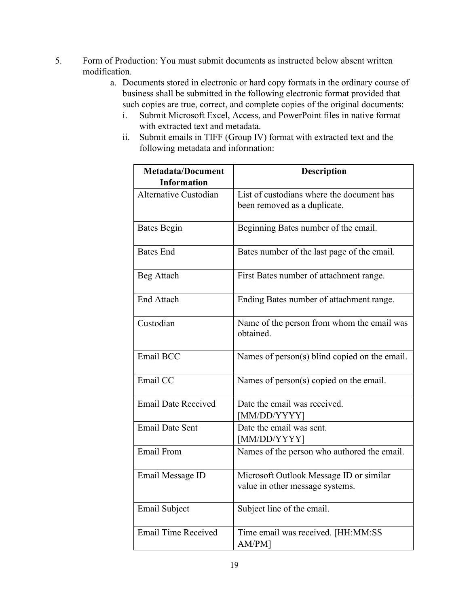- 5. Form of Production: You must submit documents as instructed below absent written modification.
	- a. Documents stored in electronic or hard copy formats in the ordinary course of business shall be submitted in the following electronic format provided that such copies are true, correct, and complete copies of the original documents:
		- i. Submit Microsoft Excel, Access, and PowerPoint files in native format with extracted text and metadata.
		- ii. Submit emails in TIFF (Group IV) format with extracted text and the following metadata and information:

| <b>Metadata/Document</b>   | <b>Description</b>                                                         |
|----------------------------|----------------------------------------------------------------------------|
| <b>Information</b>         |                                                                            |
| Alternative Custodian      | List of custodians where the document has<br>been removed as a duplicate.  |
| <b>Bates Begin</b>         | Beginning Bates number of the email.                                       |
| <b>Bates End</b>           | Bates number of the last page of the email.                                |
| Beg Attach                 | First Bates number of attachment range.                                    |
| <b>End Attach</b>          | Ending Bates number of attachment range.                                   |
| Custodian                  | Name of the person from whom the email was<br>obtained.                    |
| Email BCC                  | Names of person(s) blind copied on the email.                              |
| Email CC                   | Names of person(s) copied on the email.                                    |
| <b>Email Date Received</b> | Date the email was received.<br>[MM/DD/YYYY]                               |
| <b>Email Date Sent</b>     | Date the email was sent.<br>[MM/DD/YYYY]                                   |
| Email From                 | Names of the person who authored the email.                                |
| Email Message ID           | Microsoft Outlook Message ID or similar<br>value in other message systems. |
| <b>Email Subject</b>       | Subject line of the email.                                                 |
| <b>Email Time Received</b> | Time email was received. [HH:MM:SS<br>AM/PM]                               |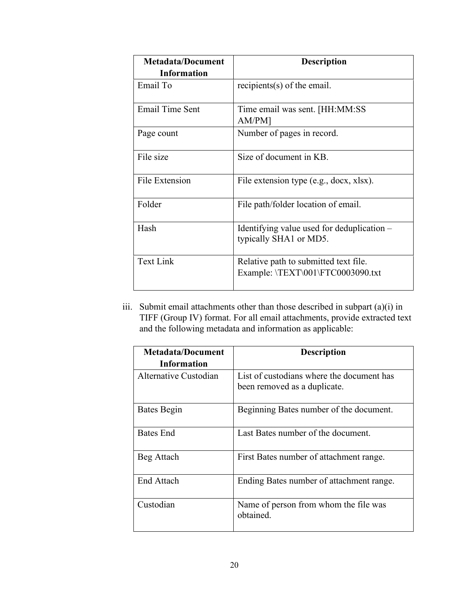| <b>Metadata/Document</b><br><b>Information</b> | <b>Description</b>                                                         |
|------------------------------------------------|----------------------------------------------------------------------------|
| Email To                                       | recipients(s) of the email.                                                |
| <b>Email Time Sent</b>                         | Time email was sent. [HH:MM:SS<br>AM/PM]                                   |
| Page count                                     | Number of pages in record.                                                 |
| File size                                      | Size of document in KB.                                                    |
| <b>File Extension</b>                          | File extension type (e.g., docx, xlsx).                                    |
| Folder                                         | File path/folder location of email.                                        |
| Hash                                           | Identifying value used for deduplication $-$<br>typically SHA1 or MD5.     |
| <b>Text Link</b>                               | Relative path to submitted text file.<br>Example: \TEXT\001\FTC0003090.txt |

iii. Submit email attachments other than those described in subpart (a)(i) in TIFF (Group IV) format. For all email attachments, provide extracted text and the following metadata and information as applicable:

| <b>Metadata/Document</b><br><b>Information</b> | <b>Description</b>                                                        |
|------------------------------------------------|---------------------------------------------------------------------------|
| Alternative Custodian                          | List of custodians where the document has<br>been removed as a duplicate. |
| Bates Begin                                    | Beginning Bates number of the document.                                   |
| Bates End                                      | Last Bates number of the document.                                        |
| Beg Attach                                     | First Bates number of attachment range.                                   |
| <b>End Attach</b>                              | Ending Bates number of attachment range.                                  |
| Custodian                                      | Name of person from whom the file was<br>obtained.                        |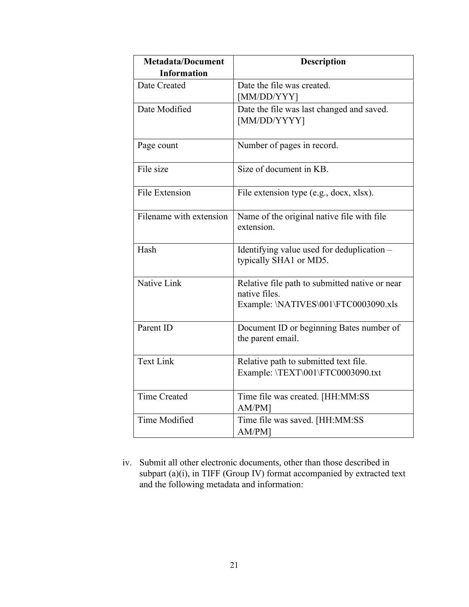| <b>Metadata/Document</b> | <b>Description</b>                                                   |
|--------------------------|----------------------------------------------------------------------|
| <b>Information</b>       |                                                                      |
| Date Created             | Date the file was created.                                           |
|                          | [MM/DD/YYY]                                                          |
| Date Modified            | Date the file was last changed and saved.<br>[MM/DD/YYYY]            |
|                          |                                                                      |
| Page count               | Number of pages in record.                                           |
| File size                | Size of document in KB.                                              |
| File Extension           | File extension type (e.g., docx, xlsx).                              |
| Filename with extension  | Name of the original native file with file<br>extension.             |
| Hash                     | Identifying value used for deduplication -<br>typically SHA1 or MD5. |
| Native Link              | Relative file path to submitted native or near<br>native files.      |
|                          | Example: \NATIVES\001\FTC0003090.xls                                 |
| Parent ID                | Document ID or beginning Bates number of<br>the parent email.        |
|                          |                                                                      |
| <b>Text Link</b>         | Relative path to submitted text file.                                |
|                          | Example: \TEXT\001\FTC0003090.txt                                    |
| <b>Time Created</b>      | Time file was created. [HH:MM:SS<br>AM/PM]                           |
| Time Modified            | Time file was saved. [HH:MM:SS<br>AM/PM]                             |

iv. Submit all other electronic documents, other than those described in subpart (a)(i), in TIFF (Group IV) format accompanied by extracted text and the following metadata and information: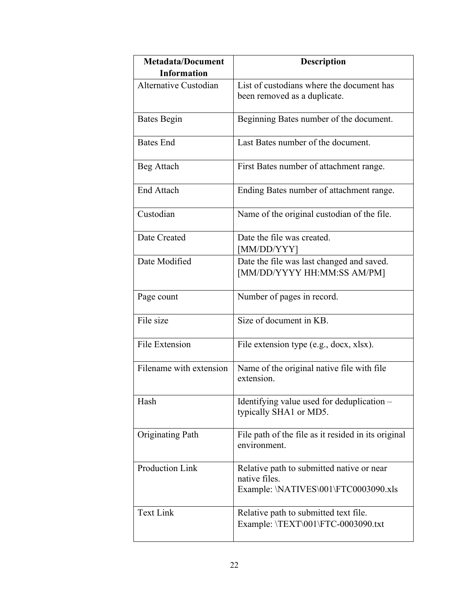| <b>Metadata/Document</b><br><b>Information</b> | <b>Description</b>                                                                                 |
|------------------------------------------------|----------------------------------------------------------------------------------------------------|
| Alternative Custodian                          | List of custodians where the document has<br>been removed as a duplicate.                          |
| <b>Bates Begin</b>                             | Beginning Bates number of the document.                                                            |
| <b>Bates</b> End                               | Last Bates number of the document.                                                                 |
| Beg Attach                                     | First Bates number of attachment range.                                                            |
| <b>End Attach</b>                              | Ending Bates number of attachment range.                                                           |
| Custodian                                      | Name of the original custodian of the file.                                                        |
| Date Created                                   | Date the file was created.<br>[MM/DD/YYY]                                                          |
| Date Modified                                  | Date the file was last changed and saved.<br>[MM/DD/YYYY HH:MM:SS AM/PM]                           |
| Page count                                     | Number of pages in record.                                                                         |
| File size                                      | Size of document in KB.                                                                            |
| <b>File Extension</b>                          | File extension type (e.g., docx, xlsx).                                                            |
| Filename with extension                        | Name of the original native file with file<br>extension.                                           |
| Hash                                           | Identifying value used for deduplication -<br>typically SHA1 or MD5.                               |
| Originating Path                               | File path of the file as it resided in its original<br>environment.                                |
| Production Link                                | Relative path to submitted native or near<br>native files.<br>Example: \NATIVES\001\FTC0003090.xls |
| <b>Text Link</b>                               | Relative path to submitted text file.<br>Example: \TEXT\001\FTC-0003090.txt                        |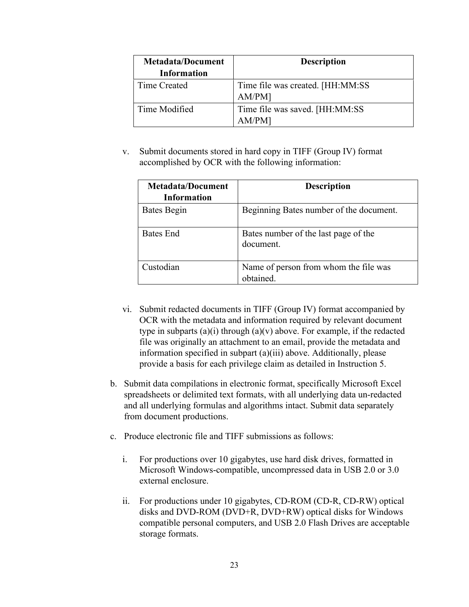| <b>Metadata/Document</b> | <b>Description</b>                |
|--------------------------|-----------------------------------|
| <b>Information</b>       |                                   |
| Time Created             | Time file was created. [HH:MM:SS] |
|                          | AM/PM]                            |
| Time Modified            | Time file was saved. [HH:MM:SS]   |
|                          | AM/PM]                            |

v. Submit documents stored in hard copy in TIFF (Group IV) format accomplished by OCR with the following information:

| <b>Metadata/Document</b><br><b>Information</b> | <b>Description</b>                                 |
|------------------------------------------------|----------------------------------------------------|
| <b>Bates Begin</b>                             | Beginning Bates number of the document.            |
| Bates End                                      | Bates number of the last page of the<br>document.  |
| Custodian                                      | Name of person from whom the file was<br>obtained. |

- vi. Submit redacted documents in TIFF (Group IV) format accompanied by OCR with the metadata and information required by relevant document type in subparts  $(a)(i)$  through  $(a)(v)$  above. For example, if the redacted file was originally an attachment to an email, provide the metadata and information specified in subpart (a)(iii) above. Additionally, please provide a basis for each privilege claim as detailed in Instruction 5.
- b. Submit data compilations in electronic format, specifically Microsoft Excel spreadsheets or delimited text formats, with all underlying data un-redacted and all underlying formulas and algorithms intact. Submit data separately from document productions.
- c. Produce electronic file and TIFF submissions as follows:
	- i. For productions over 10 gigabytes, use hard disk drives, formatted in Microsoft Windows-compatible, uncompressed data in USB 2.0 or 3.0 external enclosure.
	- ii. For productions under 10 gigabytes, CD-ROM (CD-R, CD-RW) optical disks and DVD-ROM (DVD+R, DVD+RW) optical disks for Windows compatible personal computers, and USB 2.0 Flash Drives are acceptable storage formats.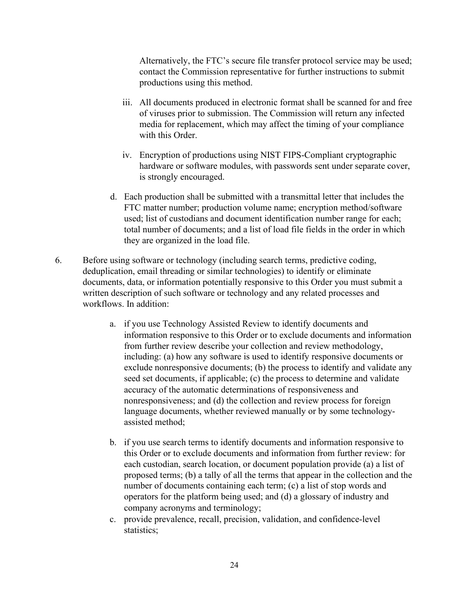Alternatively, the FTC's secure file transfer protocol service may be used; contact the Commission representative for further instructions to submit productions using this method.

- iii. All documents produced in electronic format shall be scanned for and free of viruses prior to submission. The Commission will return any infected media for replacement, which may affect the timing of your compliance with this Order.
- iv. Encryption of productions using NIST FIPS-Compliant cryptographic hardware or software modules, with passwords sent under separate cover, is strongly encouraged.
- d. Each production shall be submitted with a transmittal letter that includes the FTC matter number; production volume name; encryption method/software used; list of custodians and document identification number range for each; total number of documents; and a list of load file fields in the order in which they are organized in the load file.
- 6. Before using software or technology (including search terms, predictive coding, deduplication, email threading or similar technologies) to identify or eliminate documents, data, or information potentially responsive to this Order you must submit a written description of such software or technology and any related processes and workflows. In addition:
	- a. if you use Technology Assisted Review to identify documents and information responsive to this Order or to exclude documents and information from further review describe your collection and review methodology, including: (a) how any software is used to identify responsive documents or exclude nonresponsive documents; (b) the process to identify and validate any seed set documents, if applicable; (c) the process to determine and validate accuracy of the automatic determinations of responsiveness and nonresponsiveness; and (d) the collection and review process for foreign language documents, whether reviewed manually or by some technologyassisted method;
	- b. if you use search terms to identify documents and information responsive to this Order or to exclude documents and information from further review: for each custodian, search location, or document population provide (a) a list of proposed terms; (b) a tally of all the terms that appear in the collection and the number of documents containing each term; (c) a list of stop words and operators for the platform being used; and (d) a glossary of industry and company acronyms and terminology;
	- c. provide prevalence, recall, precision, validation, and confidence-level statistics;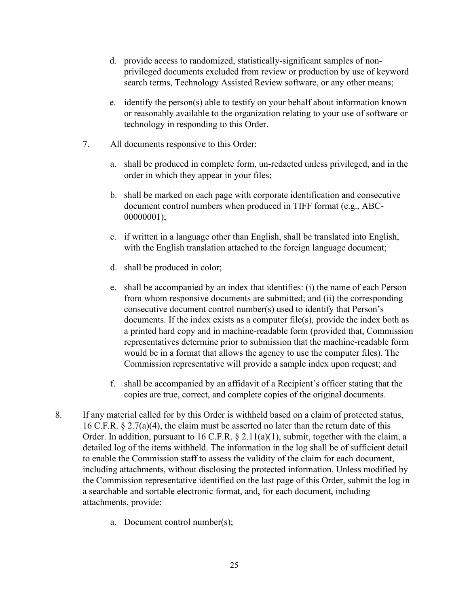- d. provide access to randomized, statistically-significant samples of nonprivileged documents excluded from review or production by use of keyword search terms, Technology Assisted Review software, or any other means;
- e. identify the person(s) able to testify on your behalf about information known or reasonably available to the organization relating to your use of software or technology in responding to this Order.
- 7. All documents responsive to this Order:
	- a. shall be produced in complete form, un-redacted unless privileged, and in the order in which they appear in your files;
	- b. shall be marked on each page with corporate identification and consecutive document control numbers when produced in TIFF format (e.g., ABC-00000001);
	- c. if written in a language other than English, shall be translated into English, with the English translation attached to the foreign language document;
	- d. shall be produced in color;
	- e. shall be accompanied by an index that identifies: (i) the name of each Person from whom responsive documents are submitted; and (ii) the corresponding consecutive document control number(s) used to identify that Person's documents. If the index exists as a computer file(s), provide the index both as a printed hard copy and in machine-readable form (provided that, Commission representatives determine prior to submission that the machine-readable form would be in a format that allows the agency to use the computer files). The Commission representative will provide a sample index upon request; and
	- f. shall be accompanied by an affidavit of a Recipient's officer stating that the copies are true, correct, and complete copies of the original documents.
- 8. If any material called for by this Order is withheld based on a claim of protected status, 16 C.F.R. § 2.7(a)(4), the claim must be asserted no later than the return date of this Order. In addition, pursuant to 16 C.F.R. § 2.11(a)(1), submit, together with the claim, a detailed log of the items withheld. The information in the log shall be of sufficient detail to enable the Commission staff to assess the validity of the claim for each document, including attachments, without disclosing the protected information. Unless modified by the Commission representative identified on the last page of this Order, submit the log in a searchable and sortable electronic format, and, for each document, including attachments, provide:
	- a. Document control number(s);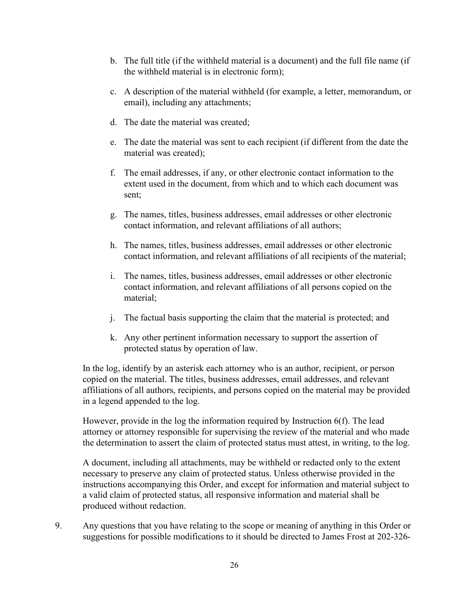- b. The full title (if the withheld material is a document) and the full file name (if the withheld material is in electronic form);
- c. A description of the material withheld (for example, a letter, memorandum, or email), including any attachments;
- d. The date the material was created;
- e. The date the material was sent to each recipient (if different from the date the material was created);
- f. The email addresses, if any, or other electronic contact information to the extent used in the document, from which and to which each document was sent;
- g. The names, titles, business addresses, email addresses or other electronic contact information, and relevant affiliations of all authors;
- h. The names, titles, business addresses, email addresses or other electronic contact information, and relevant affiliations of all recipients of the material;
- i. The names, titles, business addresses, email addresses or other electronic contact information, and relevant affiliations of all persons copied on the material;
- j. The factual basis supporting the claim that the material is protected; and
- k. Any other pertinent information necessary to support the assertion of protected status by operation of law.

In the log, identify by an asterisk each attorney who is an author, recipient, or person copied on the material. The titles, business addresses, email addresses, and relevant affiliations of all authors, recipients, and persons copied on the material may be provided in a legend appended to the log.

However, provide in the log the information required by Instruction 6(f). The lead attorney or attorney responsible for supervising the review of the material and who made the determination to assert the claim of protected status must attest, in writing, to the log.

A document, including all attachments, may be withheld or redacted only to the extent necessary to preserve any claim of protected status. Unless otherwise provided in the instructions accompanying this Order, and except for information and material subject to a valid claim of protected status, all responsive information and material shall be produced without redaction.

9. Any questions that you have relating to the scope or meaning of anything in this Order or suggestions for possible modifications to it should be directed to James Frost at 202-326